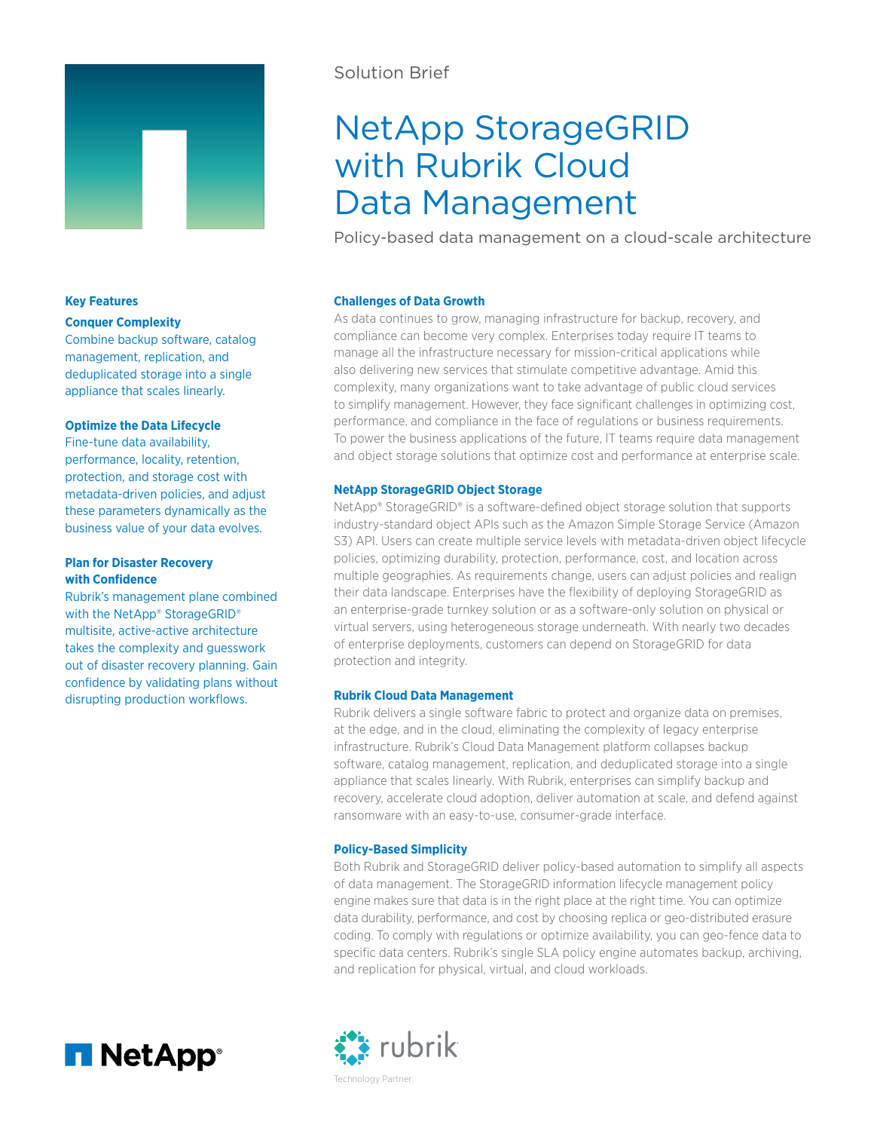

## Solution Brief

# NetApp StorageGRID with Rubrik Cloud Data Management

Policy-based data management on a cloud-scale architecture

#### **Challenges of Data Growth**

As data continues to grow, managing infrastructure for backup, recovery, and compliance can become very complex. Enterprises today require IT teams to manage all the infrastructure necessary for mission-critical applications while also delivering new services that stimulate competitive advantage. Amid this complexity, many organizations want to take advantage of public cloud services to simplify management. However, they face significant challenges in optimizing cost, performance, and compliance in the face of regulations or business requirements. To power the business applications of the future, IT teams require data management and object storage solutions that optimize cost and performance at enterprise scale.

#### **NetApp StorageGRID Object Storage**

NetApp® StorageGRID® is a software-defined object storage solution that supports industry-standard object APIs such as the Amazon Simple Storage Service (Amazon S3) API. Users can create multiple service levels with metadata-driven object lifecycle policies, optimizing durability, protection, performance, cost, and location across multiple geographies. As requirements change, users can adjust policies and realign their data landscape. Enterprises have the flexibility of deploying StorageGRID as an enterprise-grade turnkey solution or as a software-only solution on physical or virtual servers, using heterogeneous storage underneath. With nearly two decades of enterprise deployments, customers can depend on StorageGRID for data protection and integrity.

#### **Rubrik Cloud Data Management**

Rubrik delivers a single software fabric to protect and organize data on premises, at the edge, and in the cloud, eliminating the complexity of legacy enterprise infrastructure. Rubrik's Cloud Data Management platform collapses backup software, catalog management, replication, and deduplicated storage into a single appliance that scales linearly. With Rubrik, enterprises can simplify backup and recovery, accelerate cloud adoption, deliver automation at scale, and defend against ransomware with an easy-to-use, consumer-grade interface.

#### **Policy-Based Simplicity**

Both Rubrik and StorageGRID deliver policy-based automation to simplify all aspects of data management. The StorageGRID information lifecycle management policy engine makes sure that data is in the right place at the right time. You can optimize data durability, performance, and cost by choosing replica or geo-distributed erasure coding. To comply with regulations or optimize availability, you can geo-fence data to specific data centers. Rubrik's single SLA policy engine automates backup, archiving, and replication for physical, virtual, and cloud workloads.





# **Key Features**

#### **Conquer Complexity**

Combine backup software, catalog management, replication, and deduplicated storage into a single appliance that scales linearly.

#### **Optimize the Data Lifecycle**

Fine-tune data availability, performance, locality, retention, protection, and storage cost with metadata-driven policies, and adjust these parameters dynamically as the business value of your data evolves.

#### **Plan for Disaster Recovery with Confidence**

Rubrik's management plane combined with the NetApp® StorageGRID® multisite, active-active architecture takes the complexity and guesswork out of disaster recovery planning. Gain confidence by validating plans without disrupting production workflows.